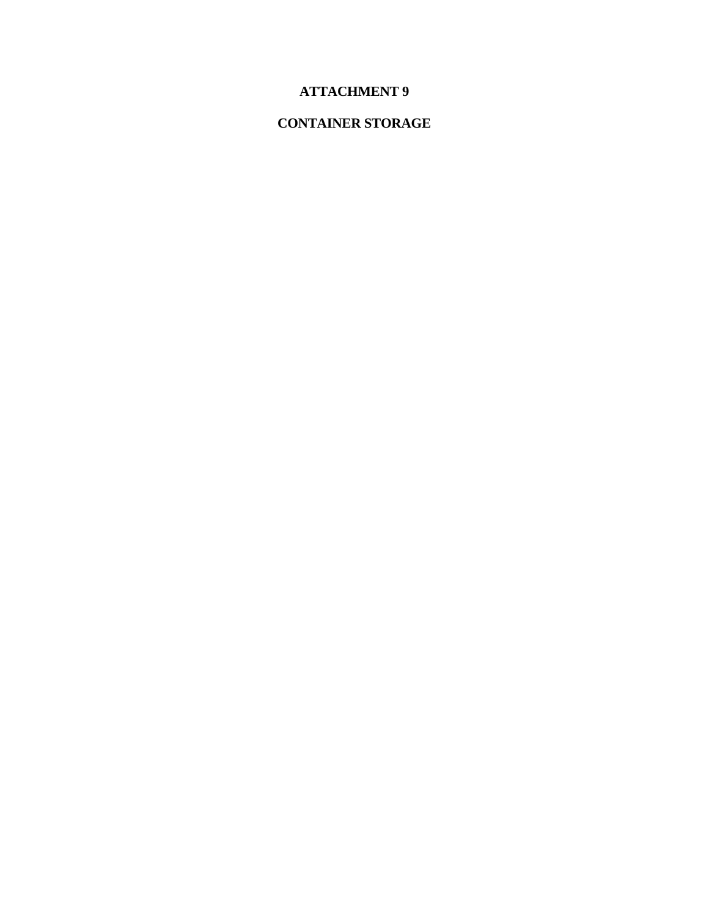# **ATTACHMENT 9**

# **CONTAINER STORAGE**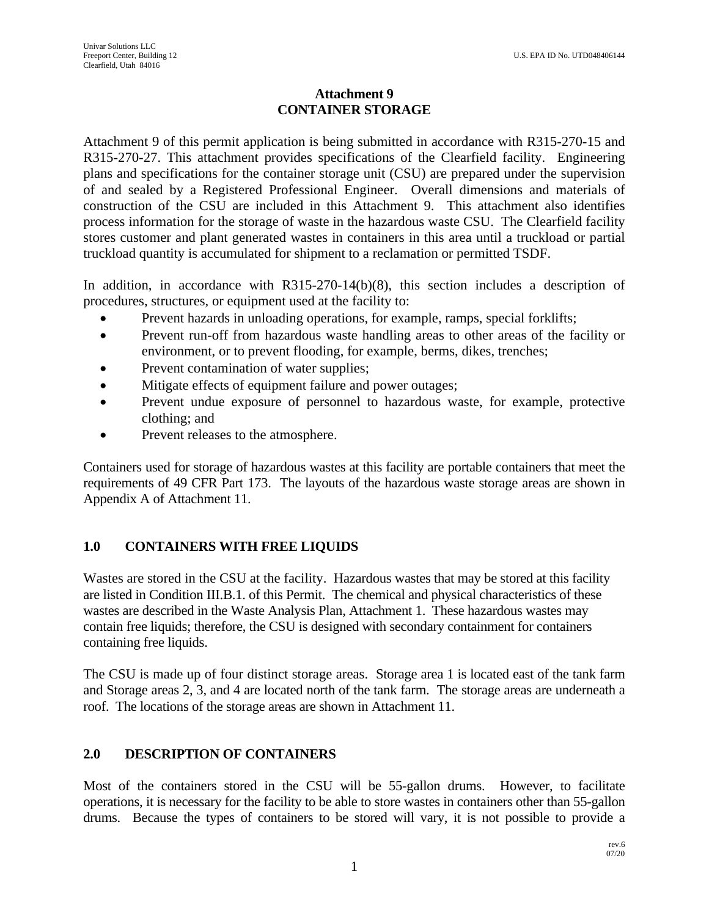## **Attachment 9 CONTAINER STORAGE**

Attachment 9 of this permit application is being submitted in accordance with R315-270-15 and R315-270-27. This attachment provides specifications of the Clearfield facility. Engineering plans and specifications for the container storage unit (CSU) are prepared under the supervision of and sealed by a Registered Professional Engineer. Overall dimensions and materials of construction of the CSU are included in this Attachment 9. This attachment also identifies process information for the storage of waste in the hazardous waste CSU. The Clearfield facility stores customer and plant generated wastes in containers in this area until a truckload or partial truckload quantity is accumulated for shipment to a reclamation or permitted TSDF.

In addition, in accordance with R315-270-14(b)(8), this section includes a description of procedures, structures, or equipment used at the facility to:

- Prevent hazards in unloading operations, for example, ramps, special forklifts;
- Prevent run-off from hazardous waste handling areas to other areas of the facility or environment, or to prevent flooding, for example, berms, dikes, trenches;
- Prevent contamination of water supplies;
- Mitigate effects of equipment failure and power outages;
- Prevent undue exposure of personnel to hazardous waste, for example, protective clothing; and
- Prevent releases to the atmosphere.

Containers used for storage of hazardous wastes at this facility are portable containers that meet the requirements of 49 CFR Part 173. The layouts of the hazardous waste storage areas are shown in Appendix A of Attachment 11.

# **1.0 CONTAINERS WITH FREE LIQUIDS**

Wastes are stored in the CSU at the facility. Hazardous wastes that may be stored at this facility are listed in Condition III.B.1. of this Permit. The chemical and physical characteristics of these wastes are described in the Waste Analysis Plan, Attachment 1. These hazardous wastes may contain free liquids; therefore, the CSU is designed with secondary containment for containers containing free liquids.

The CSU is made up of four distinct storage areas. Storage area 1 is located east of the tank farm and Storage areas 2, 3, and 4 are located north of the tank farm. The storage areas are underneath a roof. The locations of the storage areas are shown in Attachment 11.

# **2.0 DESCRIPTION OF CONTAINERS**

Most of the containers stored in the CSU will be 55-gallon drums. However, to facilitate operations, it is necessary for the facility to be able to store wastes in containers other than 55-gallon drums. Because the types of containers to be stored will vary, it is not possible to provide a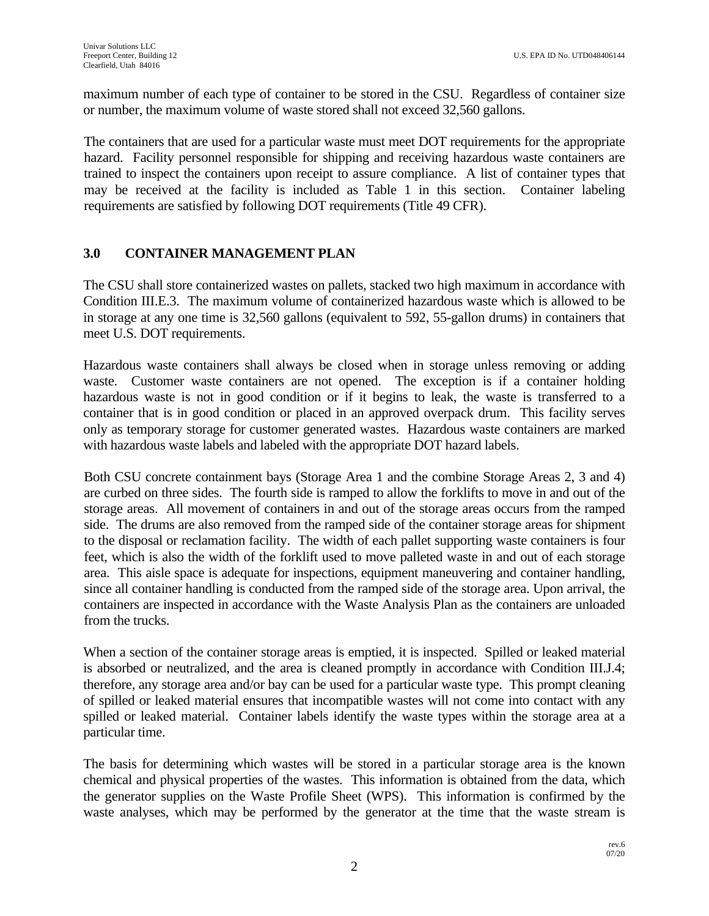maximum number of each type of container to be stored in the CSU. Regardless of container size or number, the maximum volume of waste stored shall not exceed 32,560 gallons.

The containers that are used for a particular waste must meet DOT requirements for the appropriate hazard. Facility personnel responsible for shipping and receiving hazardous waste containers are trained to inspect the containers upon receipt to assure compliance. A list of container types that may be received at the facility is included as Table 1 in this section. Container labeling requirements are satisfied by following DOT requirements (Title 49 CFR).

# **3.0 CONTAINER MANAGEMENT PLAN**

The CSU shall store containerized wastes on pallets, stacked two high maximum in accordance with Condition III.E.3. The maximum volume of containerized hazardous waste which is allowed to be in storage at any one time is 32,560 gallons (equivalent to 592, 55-gallon drums) in containers that meet U.S. DOT requirements.

Hazardous waste containers shall always be closed when in storage unless removing or adding waste. Customer waste containers are not opened. The exception is if a container holding hazardous waste is not in good condition or if it begins to leak, the waste is transferred to a container that is in good condition or placed in an approved overpack drum. This facility serves only as temporary storage for customer generated wastes. Hazardous waste containers are marked with hazardous waste labels and labeled with the appropriate DOT hazard labels.

Both CSU concrete containment bays (Storage Area 1 and the combine Storage Areas 2, 3 and 4) are curbed on three sides. The fourth side is ramped to allow the forklifts to move in and out of the storage areas. All movement of containers in and out of the storage areas occurs from the ramped side. The drums are also removed from the ramped side of the container storage areas for shipment to the disposal or reclamation facility. The width of each pallet supporting waste containers is four feet, which is also the width of the forklift used to move palleted waste in and out of each storage area. This aisle space is adequate for inspections, equipment maneuvering and container handling, since all container handling is conducted from the ramped side of the storage area. Upon arrival, the containers are inspected in accordance with the Waste Analysis Plan as the containers are unloaded from the trucks.

When a section of the container storage areas is emptied, it is inspected. Spilled or leaked material is absorbed or neutralized, and the area is cleaned promptly in accordance with Condition III.J.4; therefore, any storage area and/or bay can be used for a particular waste type. This prompt cleaning of spilled or leaked material ensures that incompatible wastes will not come into contact with any spilled or leaked material. Container labels identify the waste types within the storage area at a particular time.

The basis for determining which wastes will be stored in a particular storage area is the known chemical and physical properties of the wastes. This information is obtained from the data, which the generator supplies on the Waste Profile Sheet (WPS). This information is confirmed by the waste analyses, which may be performed by the generator at the time that the waste stream is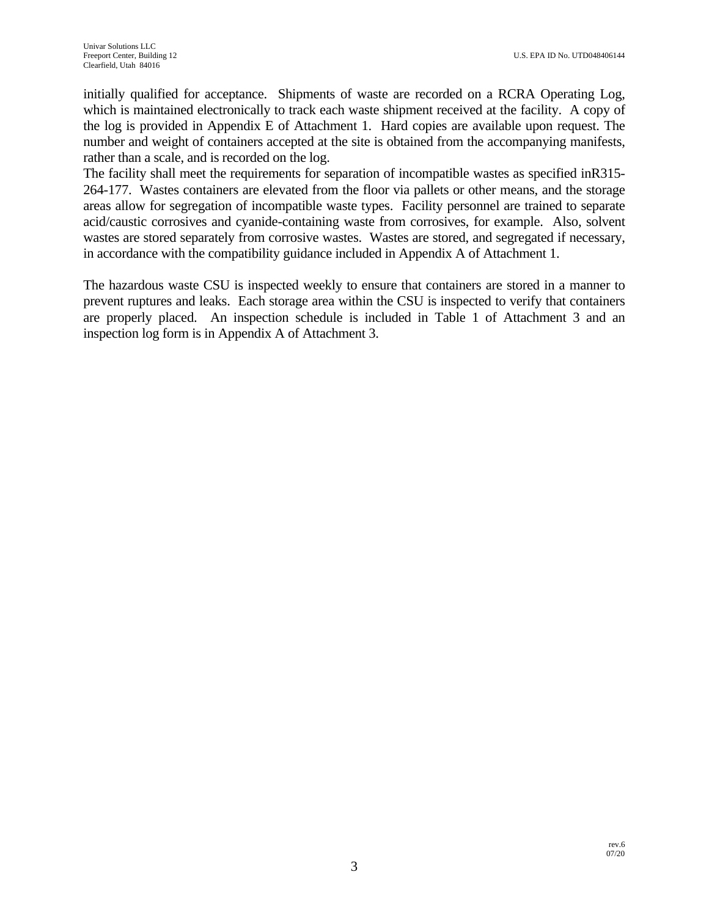initially qualified for acceptance. Shipments of waste are recorded on a RCRA Operating Log, which is maintained electronically to track each waste shipment received at the facility. A copy of the log is provided in Appendix E of Attachment 1. Hard copies are available upon request. The number and weight of containers accepted at the site is obtained from the accompanying manifests, rather than a scale, and is recorded on the log.

The facility shall meet the requirements for separation of incompatible wastes as specified inR315- 264-177. Wastes containers are elevated from the floor via pallets or other means, and the storage areas allow for segregation of incompatible waste types. Facility personnel are trained to separate acid/caustic corrosives and cyanide-containing waste from corrosives, for example. Also, solvent wastes are stored separately from corrosive wastes. Wastes are stored, and segregated if necessary, in accordance with the compatibility guidance included in Appendix A of Attachment 1.

The hazardous waste CSU is inspected weekly to ensure that containers are stored in a manner to prevent ruptures and leaks. Each storage area within the CSU is inspected to verify that containers are properly placed. An inspection schedule is included in Table 1 of Attachment 3 and an inspection log form is in Appendix A of Attachment 3.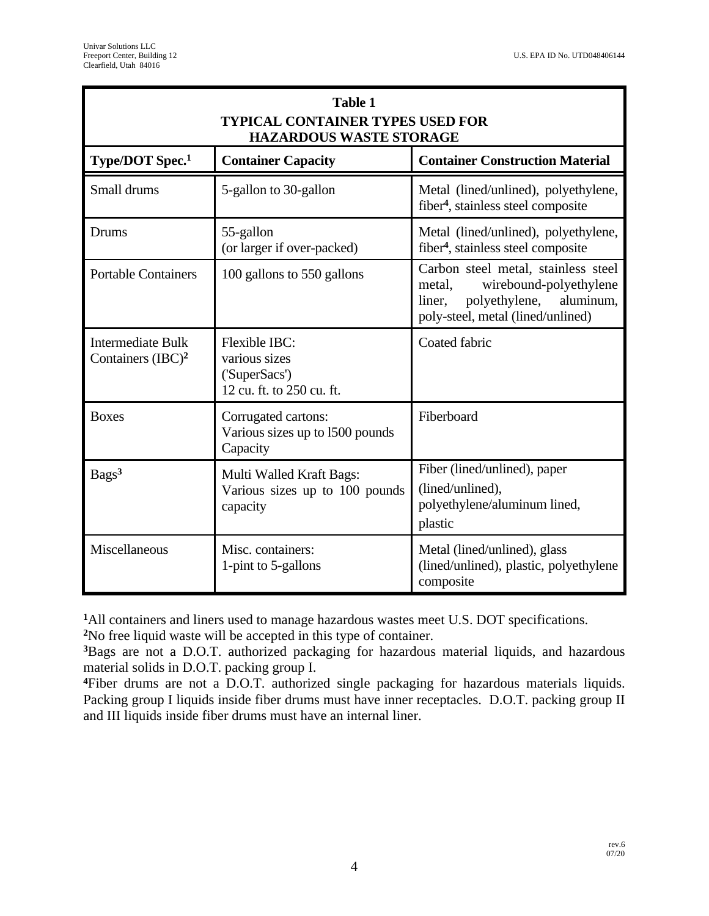| <b>Table 1</b><br><b>TYPICAL CONTAINER TYPES USED FOR</b><br><b>HAZARDOUS WASTE STORAGE</b> |                                                                              |                                                                                                                                                      |
|---------------------------------------------------------------------------------------------|------------------------------------------------------------------------------|------------------------------------------------------------------------------------------------------------------------------------------------------|
| Type/DOT Spec. <sup>1</sup>                                                                 | <b>Container Capacity</b>                                                    | <b>Container Construction Material</b>                                                                                                               |
| Small drums                                                                                 | 5-gallon to 30-gallon                                                        | Metal (lined/unlined), polyethylene,<br>fiber <sup>4</sup> , stainless steel composite                                                               |
| Drums                                                                                       | 55-gallon<br>(or larger if over-packed)                                      | Metal (lined/unlined), polyethylene,<br>fiber <sup>4</sup> , stainless steel composite                                                               |
| <b>Portable Containers</b>                                                                  | 100 gallons to 550 gallons                                                   | Carbon steel metal, stainless steel<br>metal,<br>wirebound-polyethylene<br>polyethylene,<br>aluminum,<br>liner.<br>poly-steel, metal (lined/unlined) |
| <b>Intermediate Bulk</b><br>Containers $(BC)^2$                                             | Flexible IBC:<br>various sizes<br>('SuperSacs')<br>12 cu. ft. to 250 cu. ft. | Coated fabric                                                                                                                                        |
| <b>Boxes</b>                                                                                | Corrugated cartons:<br>Various sizes up to 1500 pounds<br>Capacity           | Fiberboard                                                                                                                                           |
| Bags <sup>3</sup>                                                                           | Multi Walled Kraft Bags:<br>Various sizes up to 100 pounds<br>capacity       | Fiber (lined/unlined), paper<br>(lined/unlined),<br>polyethylene/aluminum lined,<br>plastic                                                          |
| Miscellaneous                                                                               | Misc. containers:<br>1-pint to 5-gallons                                     | Metal (lined/unlined), glass<br>(lined/unlined), plastic, polyethylene<br>composite                                                                  |

**<sup>1</sup>**All containers and liners used to manage hazardous wastes meet U.S. DOT specifications.

**<sup>2</sup>**No free liquid waste will be accepted in this type of container.

**<sup>3</sup>**Bags are not a D.O.T. authorized packaging for hazardous material liquids, and hazardous material solids in D.O.T. packing group I.

**<sup>4</sup>**Fiber drums are not a D.O.T. authorized single packaging for hazardous materials liquids. Packing group I liquids inside fiber drums must have inner receptacles. D.O.T. packing group II and III liquids inside fiber drums must have an internal liner.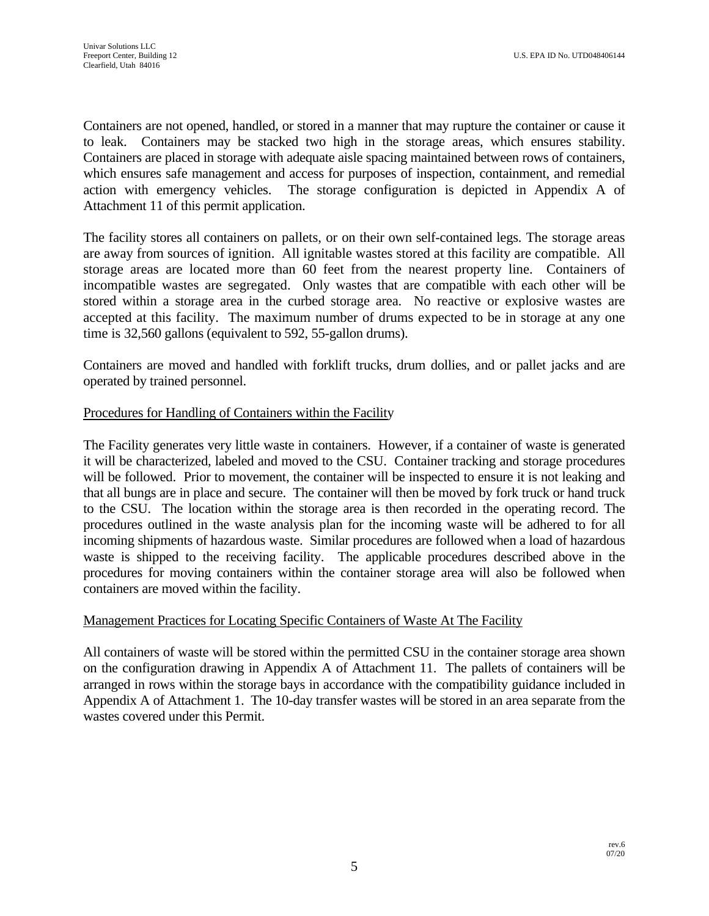Containers are not opened, handled, or stored in a manner that may rupture the container or cause it to leak. Containers may be stacked two high in the storage areas, which ensures stability. Containers are placed in storage with adequate aisle spacing maintained between rows of containers, which ensures safe management and access for purposes of inspection, containment, and remedial action with emergency vehicles. The storage configuration is depicted in Appendix A of Attachment 11 of this permit application.

The facility stores all containers on pallets, or on their own self-contained legs. The storage areas are away from sources of ignition. All ignitable wastes stored at this facility are compatible. All storage areas are located more than 60 feet from the nearest property line. Containers of incompatible wastes are segregated. Only wastes that are compatible with each other will be stored within a storage area in the curbed storage area. No reactive or explosive wastes are accepted at this facility. The maximum number of drums expected to be in storage at any one time is 32,560 gallons (equivalent to 592, 55-gallon drums).

Containers are moved and handled with forklift trucks, drum dollies, and or pallet jacks and are operated by trained personnel.

#### Procedures for Handling of Containers within the Facility

The Facility generates very little waste in containers. However, if a container of waste is generated it will be characterized, labeled and moved to the CSU. Container tracking and storage procedures will be followed. Prior to movement, the container will be inspected to ensure it is not leaking and that all bungs are in place and secure. The container will then be moved by fork truck or hand truck to the CSU. The location within the storage area is then recorded in the operating record. The procedures outlined in the waste analysis plan for the incoming waste will be adhered to for all incoming shipments of hazardous waste. Similar procedures are followed when a load of hazardous waste is shipped to the receiving facility. The applicable procedures described above in the procedures for moving containers within the container storage area will also be followed when containers are moved within the facility.

#### Management Practices for Locating Specific Containers of Waste At The Facility

All containers of waste will be stored within the permitted CSU in the container storage area shown on the configuration drawing in Appendix A of Attachment 11. The pallets of containers will be arranged in rows within the storage bays in accordance with the compatibility guidance included in Appendix A of Attachment 1. The 10-day transfer wastes will be stored in an area separate from the wastes covered under this Permit.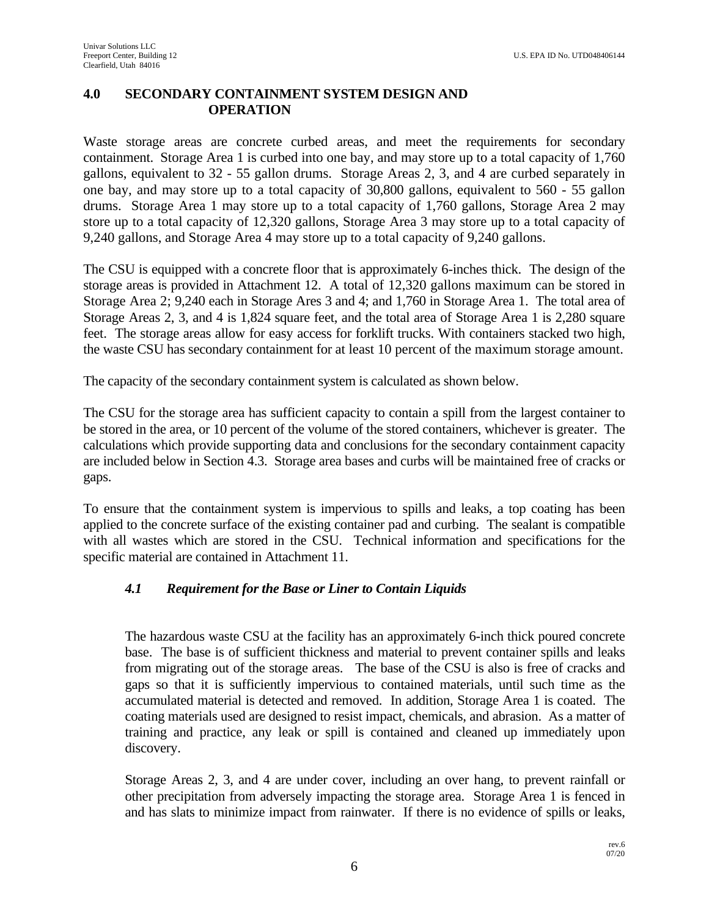#### **4.0 SECONDARY CONTAINMENT SYSTEM DESIGN AND OPERATION**

Waste storage areas are concrete curbed areas, and meet the requirements for secondary containment. Storage Area 1 is curbed into one bay, and may store up to a total capacity of 1,760 gallons, equivalent to 32 - 55 gallon drums. Storage Areas 2, 3, and 4 are curbed separately in one bay, and may store up to a total capacity of 30,800 gallons, equivalent to 560 - 55 gallon drums. Storage Area 1 may store up to a total capacity of 1,760 gallons, Storage Area 2 may store up to a total capacity of 12,320 gallons, Storage Area 3 may store up to a total capacity of 9,240 gallons, and Storage Area 4 may store up to a total capacity of 9,240 gallons.

The CSU is equipped with a concrete floor that is approximately 6-inches thick. The design of the storage areas is provided in Attachment 12. A total of 12,320 gallons maximum can be stored in Storage Area 2; 9,240 each in Storage Ares 3 and 4; and 1,760 in Storage Area 1. The total area of Storage Areas 2, 3, and 4 is 1,824 square feet, and the total area of Storage Area 1 is 2,280 square feet. The storage areas allow for easy access for forklift trucks. With containers stacked two high, the waste CSU has secondary containment for at least 10 percent of the maximum storage amount.

The capacity of the secondary containment system is calculated as shown below.

The CSU for the storage area has sufficient capacity to contain a spill from the largest container to be stored in the area, or 10 percent of the volume of the stored containers, whichever is greater. The calculations which provide supporting data and conclusions for the secondary containment capacity are included below in Section 4.3. Storage area bases and curbs will be maintained free of cracks or gaps.

To ensure that the containment system is impervious to spills and leaks, a top coating has been applied to the concrete surface of the existing container pad and curbing. The sealant is compatible with all wastes which are stored in the CSU. Technical information and specifications for the specific material are contained in Attachment 11.

#### *4.1 Requirement for the Base or Liner to Contain Liquids*

The hazardous waste CSU at the facility has an approximately 6-inch thick poured concrete base. The base is of sufficient thickness and material to prevent container spills and leaks from migrating out of the storage areas. The base of the CSU is also is free of cracks and gaps so that it is sufficiently impervious to contained materials, until such time as the accumulated material is detected and removed. In addition, Storage Area 1 is coated. The coating materials used are designed to resist impact, chemicals, and abrasion. As a matter of training and practice, any leak or spill is contained and cleaned up immediately upon discovery.

Storage Areas 2, 3, and 4 are under cover, including an over hang, to prevent rainfall or other precipitation from adversely impacting the storage area. Storage Area 1 is fenced in and has slats to minimize impact from rainwater. If there is no evidence of spills or leaks,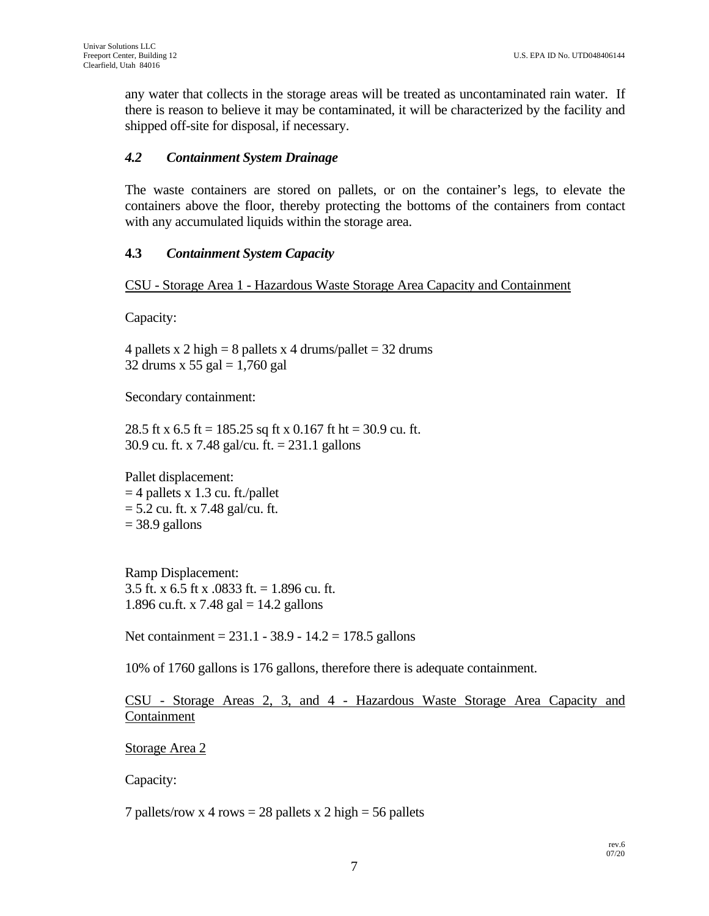any water that collects in the storage areas will be treated as uncontaminated rain water. If there is reason to believe it may be contaminated, it will be characterized by the facility and shipped off-site for disposal, if necessary.

#### *4.2 Containment System Drainage*

The waste containers are stored on pallets, or on the container's legs, to elevate the containers above the floor, thereby protecting the bottoms of the containers from contact with any accumulated liquids within the storage area.

#### **4.3** *Containment System Capacity*

CSU - Storage Area 1 - Hazardous Waste Storage Area Capacity and Containment

Capacity:

4 pallets x 2 high = 8 pallets x 4 drums/pallet =  $32$  drums 32 drums x 55 gal  $= 1,760$  gal

Secondary containment:

28.5 ft x 6.5 ft = 185.25 sq ft x 0.167 ft ht = 30.9 cu. ft. 30.9 cu. ft. x 7.48 gal/cu. ft. = 231.1 gallons

Pallet displacement:  $=$  4 pallets x 1.3 cu. ft./pallet  $= 5.2$  cu. ft. x 7.48 gal/cu. ft.  $= 38.9$  gallons

Ramp Displacement: 3.5 ft. x 6.5 ft x .0833 ft. = 1.896 cu. ft. 1.896 cu.ft. x 7.48 gal =  $14.2$  gallons

Net containment = 231.1 - 38.9 - 14.2 = 178.5 gallons

10% of 1760 gallons is 176 gallons, therefore there is adequate containment.

CSU - Storage Areas 2, 3, and 4 - Hazardous Waste Storage Area Capacity and Containment

Storage Area 2

Capacity:

7 pallets/row x 4 rows  $= 28$  pallets x 2 high  $= 56$  pallets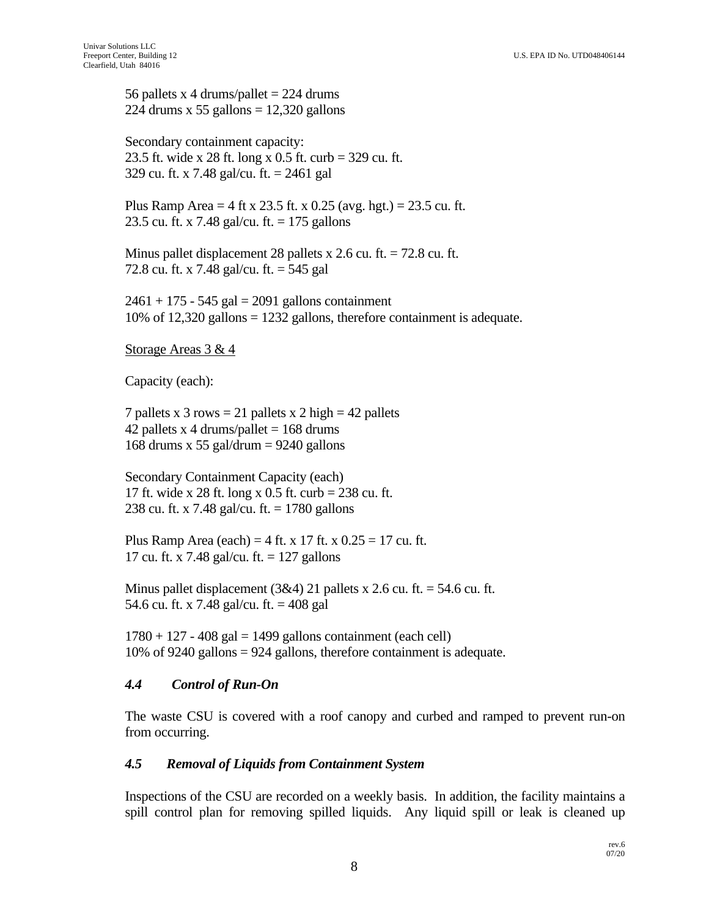56 pallets x 4 drums/pallet  $= 224$  drums 224 drums x 55 gallons  $= 12,320$  gallons

Secondary containment capacity: 23.5 ft. wide x 28 ft. long x 0.5 ft. curb = 329 cu. ft. 329 cu. ft. x 7.48 gal/cu. ft. = 2461 gal

Plus Ramp Area = 4 ft x 23.5 ft. x 0.25 (avg. hgt.) = 23.5 cu. ft. 23.5 cu. ft. x 7.48 gal/cu. ft. = 175 gallons

Minus pallet displacement 28 pallets x 2.6 cu. ft. = 72.8 cu. ft. 72.8 cu. ft. x 7.48 gal/cu. ft. = 545 gal

 $2461 + 175 - 545$  gal = 2091 gallons containment 10% of 12,320 gallons = 1232 gallons, therefore containment is adequate.

Storage Areas 3 & 4

Capacity (each):

7 pallets x 3 rows = 21 pallets x 2 high = 42 pallets 42 pallets x 4 drums/pallet  $= 168$  drums 168 drums x 55 gal/drum  $= 9240$  gallons

Secondary Containment Capacity (each) 17 ft. wide x 28 ft. long x 0.5 ft. curb = 238 cu. ft. 238 cu. ft. x 7.48 gal/cu. ft. = 1780 gallons

Plus Ramp Area (each) = 4 ft. x 17 ft. x  $0.25 = 17$  cu. ft. 17 cu. ft. x 7.48 gal/cu. ft. = 127 gallons

Minus pallet displacement  $(3&4)$  21 pallets x 2.6 cu. ft. = 54.6 cu. ft. 54.6 cu. ft. x 7.48 gal/cu. ft. = 408 gal

 $1780 + 127 - 408$  gal = 1499 gallons containment (each cell) 10% of 9240 gallons = 924 gallons, therefore containment is adequate.

#### *4.4 Control of Run-On*

The waste CSU is covered with a roof canopy and curbed and ramped to prevent run-on from occurring.

#### *4.5 Removal of Liquids from Containment System*

Inspections of the CSU are recorded on a weekly basis. In addition, the facility maintains a spill control plan for removing spilled liquids. Any liquid spill or leak is cleaned up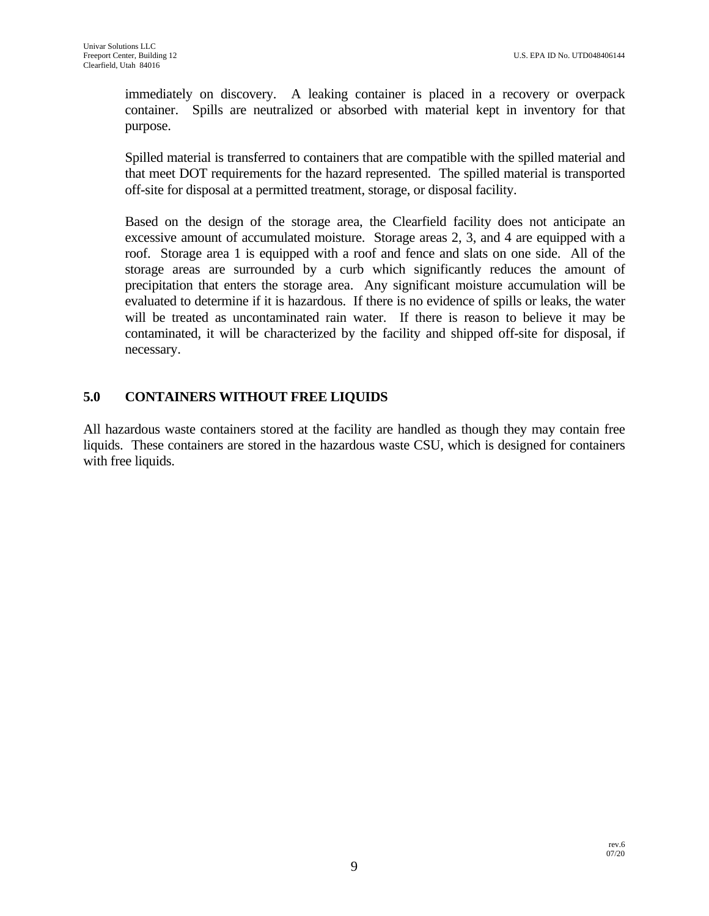immediately on discovery. A leaking container is placed in a recovery or overpack container. Spills are neutralized or absorbed with material kept in inventory for that purpose.

Spilled material is transferred to containers that are compatible with the spilled material and that meet DOT requirements for the hazard represented. The spilled material is transported off-site for disposal at a permitted treatment, storage, or disposal facility.

Based on the design of the storage area, the Clearfield facility does not anticipate an excessive amount of accumulated moisture. Storage areas 2, 3, and 4 are equipped with a roof. Storage area 1 is equipped with a roof and fence and slats on one side. All of the storage areas are surrounded by a curb which significantly reduces the amount of precipitation that enters the storage area. Any significant moisture accumulation will be evaluated to determine if it is hazardous. If there is no evidence of spills or leaks, the water will be treated as uncontaminated rain water. If there is reason to believe it may be contaminated, it will be characterized by the facility and shipped off-site for disposal, if necessary.

## **5.0 CONTAINERS WITHOUT FREE LIQUIDS**

All hazardous waste containers stored at the facility are handled as though they may contain free liquids. These containers are stored in the hazardous waste CSU, which is designed for containers with free liquids.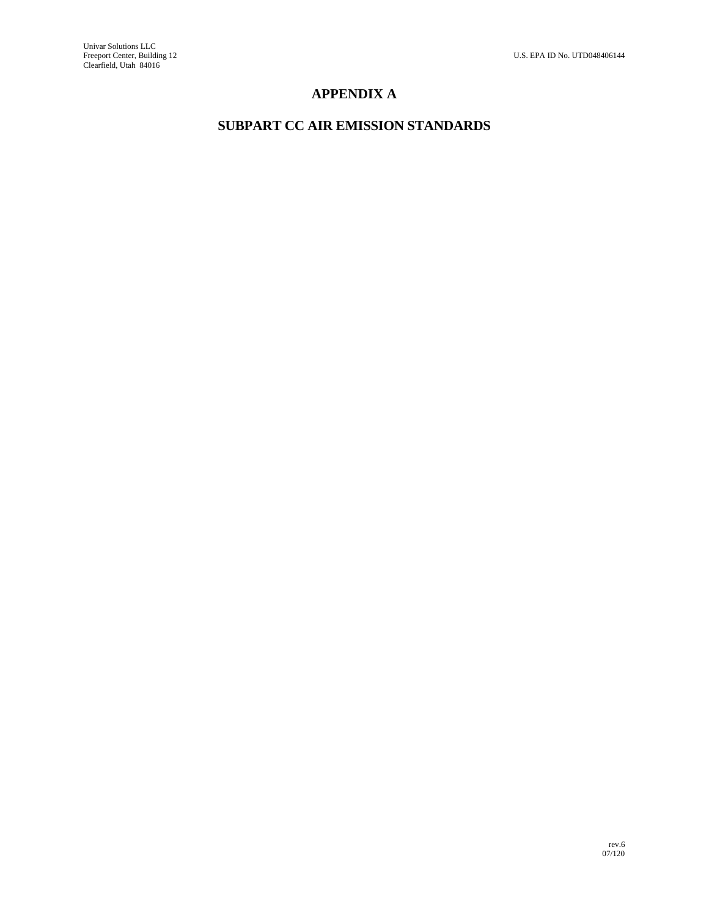# **APPENDIX A**

# **SUBPART CC AIR EMISSION STANDARDS**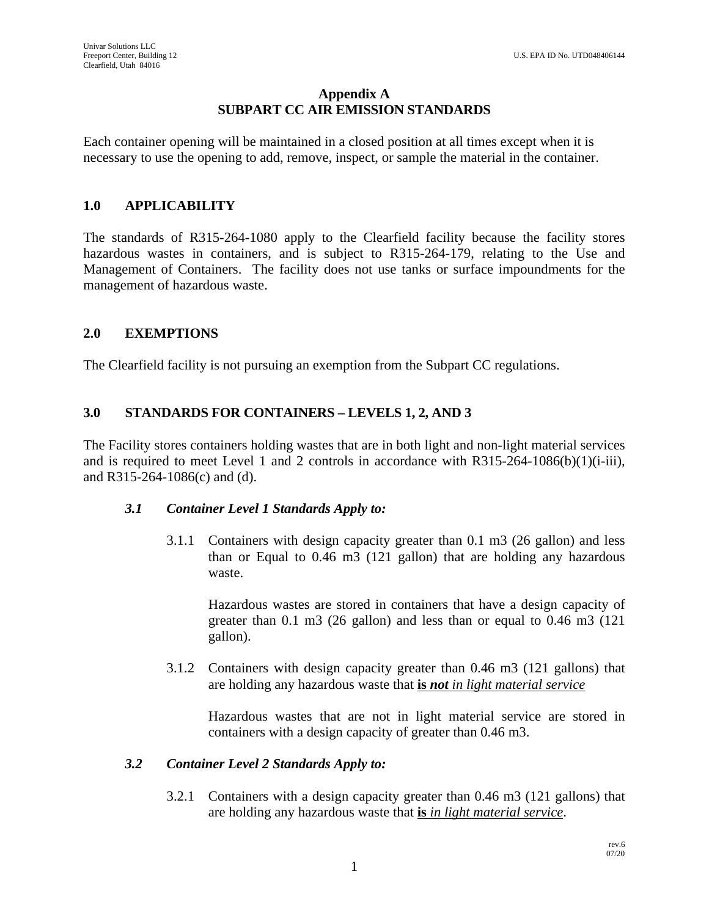#### **Appendix A SUBPART CC AIR EMISSION STANDARDS**

Each container opening will be maintained in a closed position at all times except when it is necessary to use the opening to add, remove, inspect, or sample the material in the container.

### **1.0 APPLICABILITY**

The standards of R315-264-1080 apply to the Clearfield facility because the facility stores hazardous wastes in containers, and is subject to R315-264-179, relating to the Use and Management of Containers. The facility does not use tanks or surface impoundments for the management of hazardous waste.

#### **2.0 EXEMPTIONS**

The Clearfield facility is not pursuing an exemption from the Subpart CC regulations.

# **3.0 STANDARDS FOR CONTAINERS – LEVELS 1, 2, AND 3**

The Facility stores containers holding wastes that are in both light and non-light material services and is required to meet Level 1 and 2 controls in accordance with  $R315-264-1086(b)(1)(i-iii)$ , and R315-264-1086(c) and (d).

#### *3.1 Container Level 1 Standards Apply to:*

3.1.1 Containers with design capacity greater than 0.1 m3 (26 gallon) and less than or Equal to 0.46 m3 (121 gallon) that are holding any hazardous waste.

Hazardous wastes are stored in containers that have a design capacity of greater than 0.1 m3 (26 gallon) and less than or equal to 0.46 m3 (121 gallon).

3.1.2 Containers with design capacity greater than 0.46 m3 (121 gallons) that are holding any hazardous waste that **is** *not in light material service*

Hazardous wastes that are not in light material service are stored in containers with a design capacity of greater than 0.46 m3.

#### *3.2 Container Level 2 Standards Apply to:*

3.2.1 Containers with a design capacity greater than 0.46 m3 (121 gallons) that are holding any hazardous waste that **is** *in light material service*.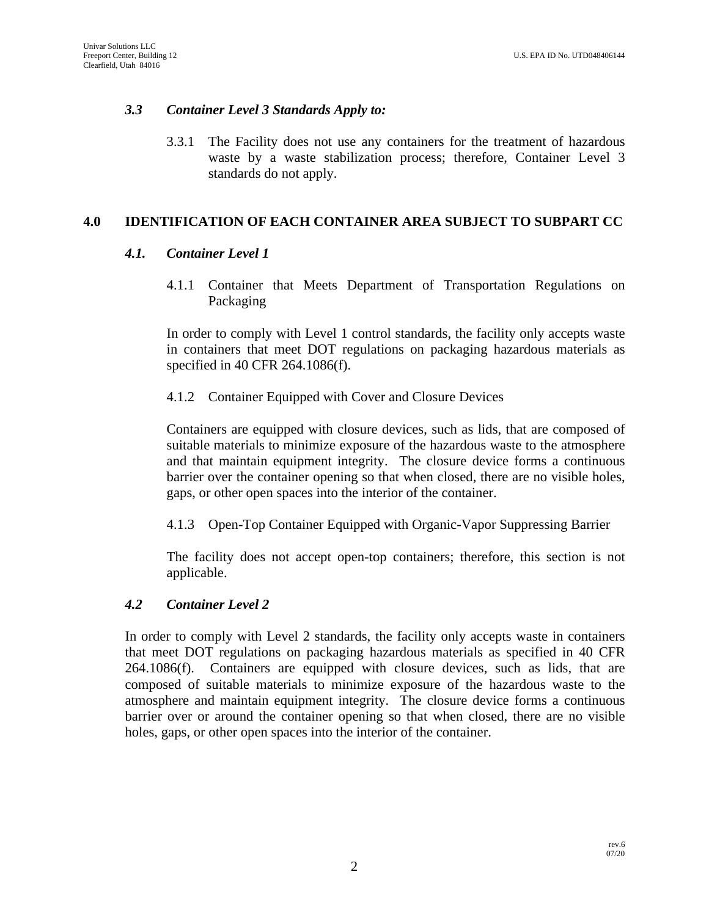### *3.3 Container Level 3 Standards Apply to:*

3.3.1 The Facility does not use any containers for the treatment of hazardous waste by a waste stabilization process; therefore, Container Level 3 standards do not apply.

## **4.0 IDENTIFICATION OF EACH CONTAINER AREA SUBJECT TO SUBPART CC**

#### *4.1. Container Level 1*

4.1.1 Container that Meets Department of Transportation Regulations on Packaging

In order to comply with Level 1 control standards, the facility only accepts waste in containers that meet DOT regulations on packaging hazardous materials as specified in 40 CFR 264.1086(f).

#### 4.1.2 Container Equipped with Cover and Closure Devices

Containers are equipped with closure devices, such as lids, that are composed of suitable materials to minimize exposure of the hazardous waste to the atmosphere and that maintain equipment integrity. The closure device forms a continuous barrier over the container opening so that when closed, there are no visible holes, gaps, or other open spaces into the interior of the container.

4.1.3 Open-Top Container Equipped with Organic-Vapor Suppressing Barrier

The facility does not accept open-top containers; therefore, this section is not applicable.

#### *4.2 Container Level 2*

In order to comply with Level 2 standards, the facility only accepts waste in containers that meet DOT regulations on packaging hazardous materials as specified in 40 CFR 264.1086(f). Containers are equipped with closure devices, such as lids, that are composed of suitable materials to minimize exposure of the hazardous waste to the atmosphere and maintain equipment integrity. The closure device forms a continuous barrier over or around the container opening so that when closed, there are no visible holes, gaps, or other open spaces into the interior of the container.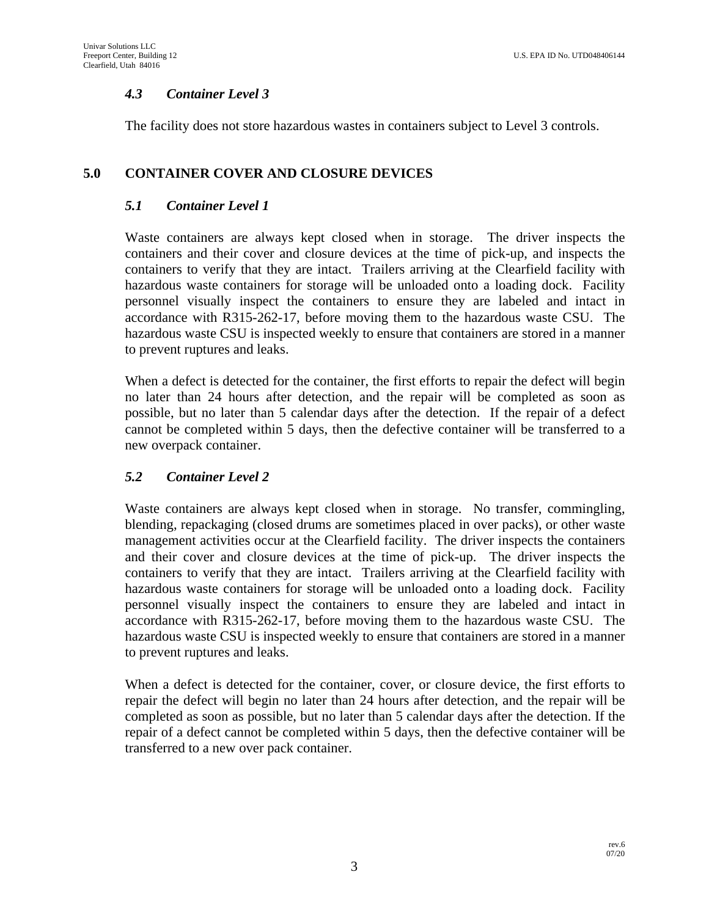## *4.3 Container Level 3*

The facility does not store hazardous wastes in containers subject to Level 3 controls.

## **5.0 CONTAINER COVER AND CLOSURE DEVICES**

#### *5.1 Container Level 1*

Waste containers are always kept closed when in storage. The driver inspects the containers and their cover and closure devices at the time of pick-up, and inspects the containers to verify that they are intact. Trailers arriving at the Clearfield facility with hazardous waste containers for storage will be unloaded onto a loading dock. Facility personnel visually inspect the containers to ensure they are labeled and intact in accordance with R315-262-17, before moving them to the hazardous waste CSU. The hazardous waste CSU is inspected weekly to ensure that containers are stored in a manner to prevent ruptures and leaks.

When a defect is detected for the container, the first efforts to repair the defect will begin no later than 24 hours after detection, and the repair will be completed as soon as possible, but no later than 5 calendar days after the detection. If the repair of a defect cannot be completed within 5 days, then the defective container will be transferred to a new overpack container.

#### *5.2 Container Level 2*

Waste containers are always kept closed when in storage. No transfer, commingling, blending, repackaging (closed drums are sometimes placed in over packs), or other waste management activities occur at the Clearfield facility. The driver inspects the containers and their cover and closure devices at the time of pick-up. The driver inspects the containers to verify that they are intact. Trailers arriving at the Clearfield facility with hazardous waste containers for storage will be unloaded onto a loading dock. Facility personnel visually inspect the containers to ensure they are labeled and intact in accordance with R315-262-17, before moving them to the hazardous waste CSU. The hazardous waste CSU is inspected weekly to ensure that containers are stored in a manner to prevent ruptures and leaks.

When a defect is detected for the container, cover, or closure device, the first efforts to repair the defect will begin no later than 24 hours after detection, and the repair will be completed as soon as possible, but no later than 5 calendar days after the detection. If the repair of a defect cannot be completed within 5 days, then the defective container will be transferred to a new over pack container.